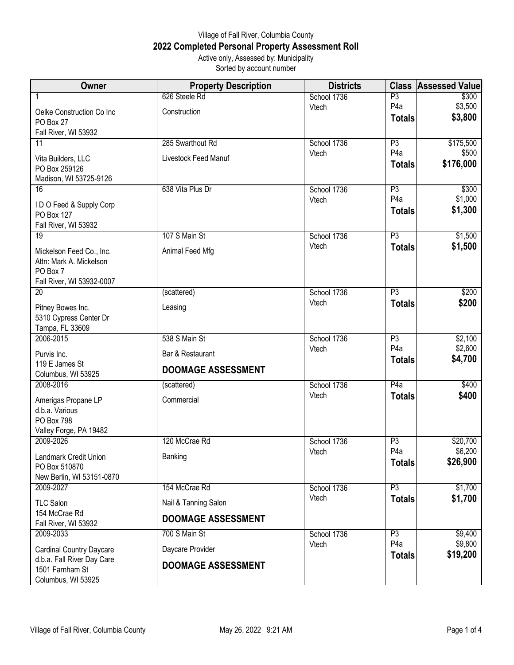## Village of Fall River, Columbia County **2022 Completed Personal Property Assessment Roll** Active only, Assessed by: Municipality

Sorted by account number

| Owner                                                               | <b>Property Description</b> | <b>Districts</b>     | <b>Class</b>           | <b>Assessed Value</b> |
|---------------------------------------------------------------------|-----------------------------|----------------------|------------------------|-----------------------|
| 1                                                                   | 626 Steele Rd               | School 1736          | P3                     | \$300                 |
| Oelke Construction Co Inc                                           | Construction                | Vtech                | P <sub>4</sub> a       | \$3,500               |
| PO Box 27                                                           |                             |                      | <b>Totals</b>          | \$3,800               |
| Fall River, WI 53932                                                | 285 Swarthout Rd            |                      |                        |                       |
| 11                                                                  |                             | School 1736<br>Vtech | P3<br>P <sub>4</sub> a | \$175,500<br>\$500    |
| Vita Builders, LLC                                                  | Livestock Feed Manuf        |                      | <b>Totals</b>          | \$176,000             |
| PO Box 259126<br>Madison, WI 53725-9126                             |                             |                      |                        |                       |
| 16                                                                  | 638 Vita Plus Dr            | School 1736          | P3                     | \$300                 |
|                                                                     |                             | Vtech                | P <sub>4</sub> a       | \$1,000               |
| IDO Feed & Supply Corp<br>PO Box 127                                |                             |                      | <b>Totals</b>          | \$1,300               |
| Fall River, WI 53932                                                |                             |                      |                        |                       |
| $\overline{19}$                                                     | 107 S Main St               | School 1736          | P3                     | \$1,500               |
| Mickelson Feed Co., Inc.                                            | Animal Feed Mfg             | Vtech                | <b>Totals</b>          | \$1,500               |
| Attn: Mark A. Mickelson                                             |                             |                      |                        |                       |
| PO Box 7                                                            |                             |                      |                        |                       |
| Fall River, WI 53932-0007<br>$\overline{20}$                        | (scattered)                 | School 1736          | P3                     | \$200                 |
|                                                                     |                             | Vtech                | <b>Totals</b>          | \$200                 |
| Pitney Bowes Inc.                                                   | Leasing                     |                      |                        |                       |
| 5310 Cypress Center Dr<br>Tampa, FL 33609                           |                             |                      |                        |                       |
| 2006-2015                                                           | 538 S Main St               | School 1736          | P3                     | \$2,100               |
| Purvis Inc.                                                         | Bar & Restaurant            | Vtech                | P <sub>4</sub> a       | \$2,600               |
| 119 E James St                                                      |                             |                      | <b>Totals</b>          | \$4,700               |
| Columbus, WI 53925                                                  | <b>DOOMAGE ASSESSMENT</b>   |                      |                        |                       |
| 2008-2016                                                           | (scattered)                 | School 1736          | P4a                    | \$400                 |
| Amerigas Propane LP                                                 | Commercial                  | Vtech                | <b>Totals</b>          | \$400                 |
| d.b.a. Various                                                      |                             |                      |                        |                       |
| <b>PO Box 798</b><br>Valley Forge, PA 19482                         |                             |                      |                        |                       |
| 2009-2026                                                           | 120 McCrae Rd               | School 1736          | P3                     | \$20,700              |
|                                                                     |                             | Vtech                | P <sub>4</sub> a       | \$6,200               |
| Landmark Credit Union<br>PO Box 510870                              | Banking                     |                      | <b>Totals</b>          | \$26,900              |
| New Berlin, WI 53151-0870                                           |                             |                      |                        |                       |
| 2009-2027                                                           | 154 McCrae Rd               | School 1736          | P3                     | \$1,700               |
| <b>TLC Salon</b>                                                    | Nail & Tanning Salon        | Vtech                | <b>Totals</b>          | \$1,700               |
| 154 McCrae Rd                                                       | <b>DOOMAGE ASSESSMENT</b>   |                      |                        |                       |
| Fall River, WI 53932                                                |                             |                      |                        |                       |
| 2009-2033                                                           | 700 S Main St               | School 1736<br>Vtech | P3<br>P <sub>4</sub> a | \$9,400<br>\$9,800    |
| <b>Cardinal Country Daycare</b>                                     | Daycare Provider            |                      | <b>Totals</b>          | \$19,200              |
| d.b.a. Fall River Day Care<br>1501 Farnham St<br>Columbus, WI 53925 | <b>DOOMAGE ASSESSMENT</b>   |                      |                        |                       |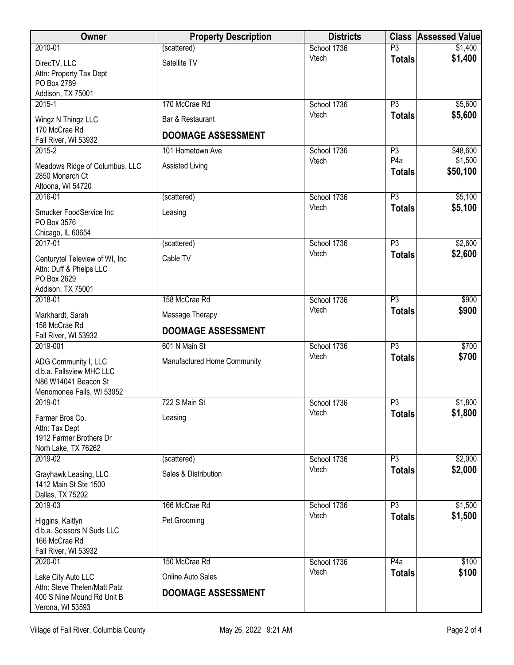| <b>Owner</b>                                                                                          | <b>Property Description</b>                    | <b>Districts</b> | <b>Class</b>                      | <b>Assessed Value</b> |
|-------------------------------------------------------------------------------------------------------|------------------------------------------------|------------------|-----------------------------------|-----------------------|
| 2010-01                                                                                               | (scattered)                                    | School 1736      | P <sub>3</sub>                    | \$1,400               |
| DirecTV, LLC<br>Attn: Property Tax Dept<br>PO Box 2789<br>Addison, TX 75001                           | Satellite TV                                   | Vtech            | <b>Totals</b>                     | \$1,400               |
| $2015 - 1$                                                                                            | 170 McCrae Rd                                  | School 1736      | $\overline{P3}$                   | \$5,600               |
| Wingz N Thingz LLC<br>170 McCrae Rd<br>Fall River, WI 53932                                           | Bar & Restaurant<br><b>DOOMAGE ASSESSMENT</b>  | Vtech            | <b>Totals</b>                     | \$5,600               |
| $2015 - 2$                                                                                            | 101 Hometown Ave                               | School 1736      | P3                                | \$48,600              |
| Meadows Ridge of Columbus, LLC<br>2850 Monarch Ct<br>Altoona, WI 54720                                | Assisted Living                                | Vtech            | P <sub>4</sub> a<br><b>Totals</b> | \$1,500<br>\$50,100   |
| 2016-01                                                                                               | (scattered)                                    | School 1736      | P3                                | \$5,100               |
| Smucker FoodService Inc<br>PO Box 3576<br>Chicago, IL 60654                                           | Leasing                                        | Vtech            | <b>Totals</b>                     | \$5,100               |
| 2017-01                                                                                               | (scattered)                                    | School 1736      | $\overline{P3}$                   | \$2,600               |
| Centurytel Teleview of WI, Inc<br>Attn: Duff & Phelps LLC<br>PO Box 2629<br>Addison, TX 75001         | Cable TV                                       | Vtech            | <b>Totals</b>                     | \$2,600               |
| 2018-01                                                                                               | 158 McCrae Rd                                  | School 1736      | $\overline{P3}$                   | \$900                 |
| Markhardt, Sarah<br>158 McCrae Rd<br>Fall River, WI 53932                                             | Massage Therapy<br><b>DOOMAGE ASSESSMENT</b>   | Vtech            | <b>Totals</b>                     | \$900                 |
| 2019-001                                                                                              | 601 N Main St                                  | School 1736      | $\overline{P3}$                   | \$700                 |
| ADG Community I, LLC<br>d.b.a. Fallsview MHC LLC<br>N86 W14041 Beacon St<br>Menomonee Falls, WI 53052 | Manufactured Home Community                    | Vtech            | <b>Totals</b>                     | \$700                 |
| 2019-01                                                                                               | 722 S Main St                                  | School 1736      | P <sub>3</sub>                    | \$1,800               |
| Farmer Bros Co.<br>Attn: Tax Dept<br>1912 Farmer Brothers Dr<br>Norh Lake, TX 76262                   | Leasing                                        | Vtech            | <b>Totals</b>                     | \$1,800               |
| 2019-02                                                                                               | (scattered)                                    | School 1736      | P3                                | \$2,000               |
| Grayhawk Leasing, LLC<br>1412 Main St Ste 1500<br>Dallas, TX 75202                                    | Sales & Distribution                           | Vtech            | <b>Totals</b>                     | \$2,000               |
| 2019-03                                                                                               | 166 McCrae Rd                                  | School 1736      | P3                                | \$1,500               |
| Higgins, Kaitlyn<br>d.b.a. Scissors N Suds LLC<br>166 McCrae Rd<br>Fall River, WI 53932               | Pet Grooming                                   | Vtech            | <b>Totals</b>                     | \$1,500               |
| 2020-01                                                                                               | 150 McCrae Rd                                  | School 1736      | P4a                               | \$100                 |
| Lake City Auto LLC<br>Attn: Steve Thelen/Matt Patz                                                    | Online Auto Sales<br><b>DOOMAGE ASSESSMENT</b> | Vtech            | <b>Totals</b>                     | \$100                 |
| 400 S Nine Mound Rd Unit B<br>Verona, WI 53593                                                        |                                                |                  |                                   |                       |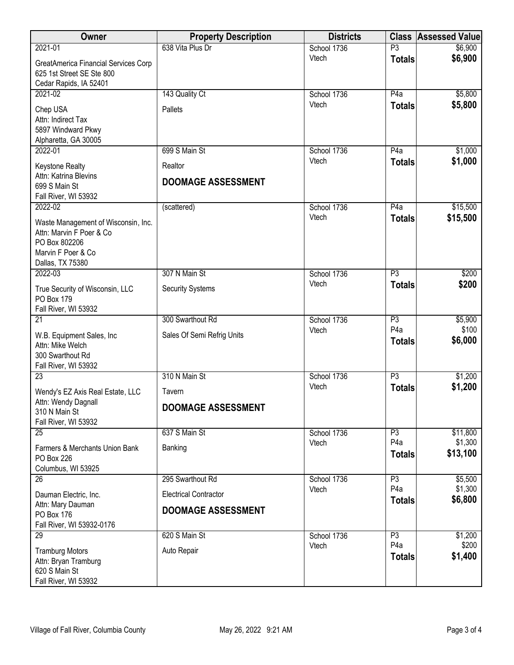| Owner                                                                                                                      | <b>Property Description</b>          | <b>Districts</b> | <b>Class</b>                      | <b>Assessed Value</b> |
|----------------------------------------------------------------------------------------------------------------------------|--------------------------------------|------------------|-----------------------------------|-----------------------|
| 2021-01                                                                                                                    | 638 Vita Plus Dr                     | School 1736      | $\overline{P3}$                   | \$6,900               |
| <b>GreatAmerica Financial Services Corp</b><br>625 1st Street SE Ste 800<br>Cedar Rapids, IA 52401                         |                                      | Vtech            | <b>Totals</b>                     | \$6,900               |
| 2021-02                                                                                                                    | 143 Quality Ct                       | School 1736      | P4a                               | \$5,800               |
| Chep USA<br>Attn: Indirect Tax<br>5897 Windward Pkwy<br>Alpharetta, GA 30005                                               | Pallets                              | Vtech            | <b>Totals</b>                     | \$5,800               |
| 2022-01                                                                                                                    | 699 S Main St                        | School 1736      | $\overline{P4a}$                  | \$1,000               |
| <b>Keystone Realty</b><br>Attn: Katrina Blevins<br>699 S Main St<br>Fall River, WI 53932                                   | Realtor<br><b>DOOMAGE ASSESSMENT</b> | Vtech            | <b>Totals</b>                     | \$1,000               |
| 2022-02                                                                                                                    | (scattered)                          | School 1736      | P4a                               | \$15,500              |
| Waste Management of Wisconsin, Inc.<br>Attn: Marvin F Poer & Co<br>PO Box 802206<br>Marvin F Poer & Co<br>Dallas, TX 75380 |                                      | Vtech            | <b>Totals</b>                     | \$15,500              |
| 2022-03                                                                                                                    | 307 N Main St                        | School 1736      | $\overline{P3}$                   | \$200                 |
| True Security of Wisconsin, LLC<br>PO Box 179<br>Fall River, WI 53932                                                      | <b>Security Systems</b>              | Vtech            | <b>Totals</b>                     | \$200                 |
| $\overline{21}$                                                                                                            | 300 Swarthout Rd                     | School 1736      | P3                                | \$5,900               |
| W.B. Equipment Sales, Inc.<br>Attn: Mike Welch<br>300 Swarthout Rd<br>Fall River, WI 53932                                 | Sales Of Semi Refrig Units           | Vtech            | P <sub>4</sub> a<br><b>Totals</b> | \$100<br>\$6,000      |
| $\overline{23}$                                                                                                            | 310 N Main St                        | School 1736      | $\overline{P3}$                   | \$1,200               |
| Wendy's EZ Axis Real Estate, LLC                                                                                           | Tavern                               | Vtech            | <b>Totals</b>                     | \$1,200               |
| Attn: Wendy Dagnall<br>310 N Main St<br>Fall River, WI 53932                                                               | DOOMAGE ASSESSMENT                   |                  |                                   |                       |
| 25                                                                                                                         | 637 S Main St                        | School 1736      | P3                                | \$11,800              |
| Farmers & Merchants Union Bank<br>PO Box 226<br>Columbus, WI 53925                                                         | Banking                              | Vtech            | P <sub>4</sub> a<br><b>Totals</b> | \$1,300<br>\$13,100   |
| 26                                                                                                                         | 295 Swarthout Rd                     | School 1736      | P3                                | \$5,500               |
| Dauman Electric, Inc.                                                                                                      | <b>Electrical Contractor</b>         | Vtech            | P <sub>4</sub> a                  | \$1,300               |
| Attn: Mary Dauman                                                                                                          | <b>DOOMAGE ASSESSMENT</b>            |                  | <b>Totals</b>                     | \$6,800               |
| <b>PO Box 176</b>                                                                                                          |                                      |                  |                                   |                       |
| Fall River, WI 53932-0176<br>29                                                                                            | 620 S Main St                        | School 1736      | P3                                | \$1,200               |
|                                                                                                                            |                                      | Vtech            | P <sub>4</sub> a                  | \$200                 |
| <b>Tramburg Motors</b><br>Attn: Bryan Tramburg<br>620 S Main St<br>Fall River, WI 53932                                    | Auto Repair                          |                  | <b>Totals</b>                     | \$1,400               |